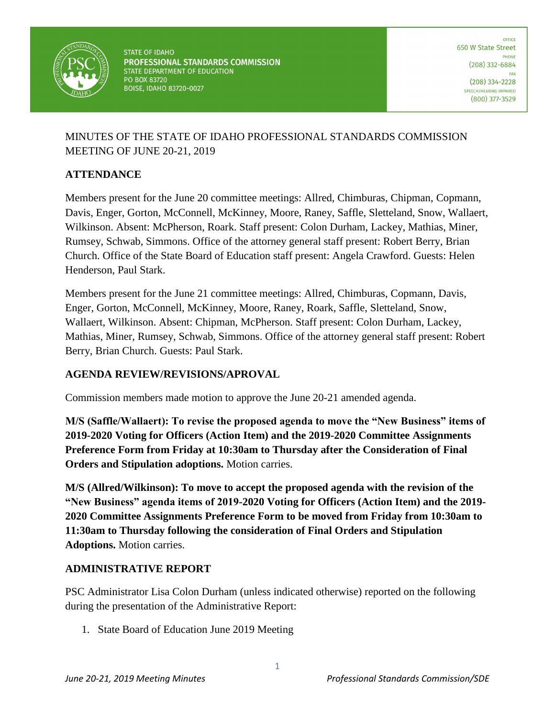

OFFICE 650 W State Street **DHONE**  $(208)$  332-6884 FAX  $(208)$  334-2228 SPEECH/HEARING IMPAIRED  $(800)$  377-3529

# MINUTES OF THE STATE OF IDAHO PROFESSIONAL STANDARDS COMMISSION MEETING OF JUNE 20-21, 2019

## **ATTENDANCE**

Members present for the June 20 committee meetings: Allred, Chimburas, Chipman, Copmann, Davis, Enger, Gorton, McConnell, McKinney, Moore, Raney, Saffle, Sletteland, Snow, Wallaert, Wilkinson. Absent: McPherson, Roark. Staff present: Colon Durham, Lackey, Mathias, Miner, Rumsey, Schwab, Simmons. Office of the attorney general staff present: Robert Berry, Brian Church. Office of the State Board of Education staff present: Angela Crawford. Guests: Helen Henderson, Paul Stark.

Members present for the June 21 committee meetings: Allred, Chimburas, Copmann, Davis, Enger, Gorton, McConnell, McKinney, Moore, Raney, Roark, Saffle, Sletteland, Snow, Wallaert, Wilkinson. Absent: Chipman, McPherson. Staff present: Colon Durham, Lackey, Mathias, Miner, Rumsey, Schwab, Simmons. Office of the attorney general staff present: Robert Berry, Brian Church. Guests: Paul Stark.

## **AGENDA REVIEW/REVISIONS/APROVAL**

Commission members made motion to approve the June 20-21 amended agenda.

**M/S (Saffle/Wallaert): To revise the proposed agenda to move the "New Business" items of 2019-2020 Voting for Officers (Action Item) and the 2019-2020 Committee Assignments Preference Form from Friday at 10:30am to Thursday after the Consideration of Final Orders and Stipulation adoptions.** Motion carries.

**M/S (Allred/Wilkinson): To move to accept the proposed agenda with the revision of the "New Business" agenda items of 2019-2020 Voting for Officers (Action Item) and the 2019- 2020 Committee Assignments Preference Form to be moved from Friday from 10:30am to 11:30am to Thursday following the consideration of Final Orders and Stipulation Adoptions.** Motion carries.

## **ADMINISTRATIVE REPORT**

PSC Administrator Lisa Colon Durham (unless indicated otherwise) reported on the following during the presentation of the Administrative Report:

1. State Board of Education June 2019 Meeting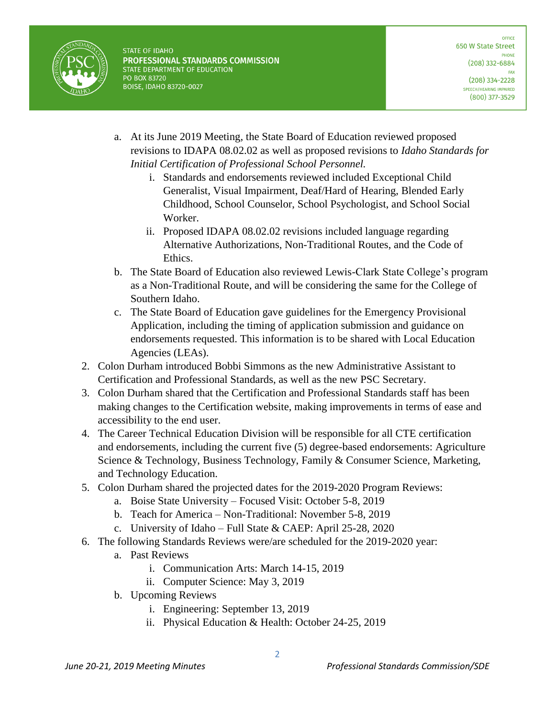

- a. At its June 2019 Meeting, the State Board of Education reviewed proposed revisions to IDAPA 08.02.02 as well as proposed revisions to *Idaho Standards for Initial Certification of Professional School Personnel.* 
	- i. Standards and endorsements reviewed included Exceptional Child Generalist, Visual Impairment, Deaf/Hard of Hearing, Blended Early Childhood, School Counselor, School Psychologist, and School Social Worker.
	- ii. Proposed IDAPA 08.02.02 revisions included language regarding Alternative Authorizations, Non-Traditional Routes, and the Code of Ethics.
- b. The State Board of Education also reviewed Lewis-Clark State College's program as a Non-Traditional Route, and will be considering the same for the College of Southern Idaho.
- c. The State Board of Education gave guidelines for the Emergency Provisional Application, including the timing of application submission and guidance on endorsements requested. This information is to be shared with Local Education Agencies (LEAs).
- 2. Colon Durham introduced Bobbi Simmons as the new Administrative Assistant to Certification and Professional Standards, as well as the new PSC Secretary.
- 3. Colon Durham shared that the Certification and Professional Standards staff has been making changes to the Certification website, making improvements in terms of ease and accessibility to the end user.
- 4. The Career Technical Education Division will be responsible for all CTE certification and endorsements, including the current five (5) degree-based endorsements: Agriculture Science & Technology, Business Technology, Family & Consumer Science, Marketing, and Technology Education.
- 5. Colon Durham shared the projected dates for the 2019-2020 Program Reviews:
	- a. Boise State University Focused Visit: October 5-8, 2019
	- b. Teach for America Non-Traditional: November 5-8, 2019
	- c. University of Idaho Full State & CAEP: April 25-28, 2020
- 6. The following Standards Reviews were/are scheduled for the 2019-2020 year:
	- a. Past Reviews
		- i. Communication Arts: March 14-15, 2019
		- ii. Computer Science: May 3, 2019
	- b. Upcoming Reviews
		- i. Engineering: September 13, 2019
		- ii. Physical Education & Health: October 24-25, 2019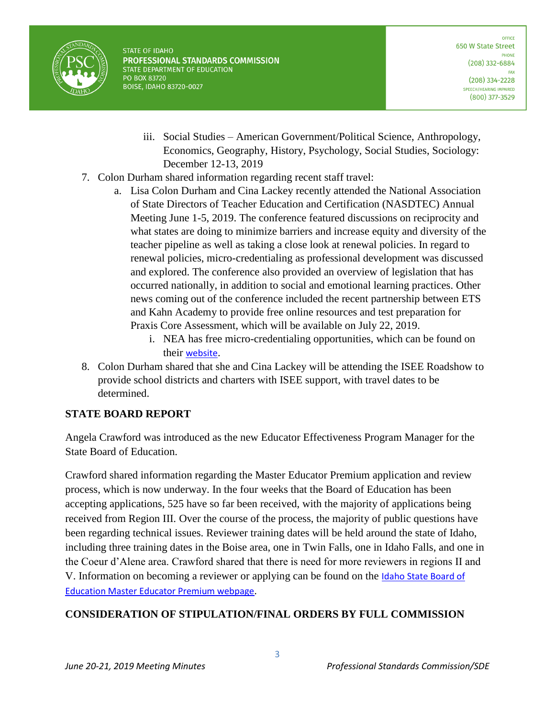

- iii. Social Studies American Government/Political Science, Anthropology, Economics, Geography, History, Psychology, Social Studies, Sociology: December 12-13, 2019
- 7. Colon Durham shared information regarding recent staff travel:
	- a. Lisa Colon Durham and Cina Lackey recently attended the National Association of State Directors of Teacher Education and Certification (NASDTEC) Annual Meeting June 1-5, 2019. The conference featured discussions on reciprocity and what states are doing to minimize barriers and increase equity and diversity of the teacher pipeline as well as taking a close look at renewal policies. In regard to renewal policies, micro-credentialing as professional development was discussed and explored. The conference also provided an overview of legislation that has occurred nationally, in addition to social and emotional learning practices. Other news coming out of the conference included the recent partnership between ETS and Kahn Academy to provide free online resources and test preparation for Praxis Core Assessment, which will be available on July 22, 2019.
		- i. NEA has free micro-credentialing opportunities, which can be found on their [website](https://nea.certificationbank.com/Stack_Library).
- 8. Colon Durham shared that she and Cina Lackey will be attending the ISEE Roadshow to provide school districts and charters with ISEE support, with travel dates to be determined.

## **STATE BOARD REPORT**

Angela Crawford was introduced as the new Educator Effectiveness Program Manager for the State Board of Education.

Crawford shared information regarding the Master Educator Premium application and review process, which is now underway. In the four weeks that the Board of Education has been accepting applications, 525 have so far been received, with the majority of applications being received from Region III. Over the course of the process, the majority of public questions have been regarding technical issues. Reviewer training dates will be held around the state of Idaho, including three training dates in the Boise area, one in Twin Falls, one in Idaho Falls, and one in the Coeur d'Alene area. Crawford shared that there is need for more reviewers in regions II and V. Information on becoming a reviewer or applying can be found on the **Idaho State Board of** [Education Master Educator Premium webpage](https://boardofed.idaho.gov/k-12-education/educator-effectiveness/master-teacher-premium-plan/).

## **CONSIDERATION OF STIPULATION/FINAL ORDERS BY FULL COMMISSION**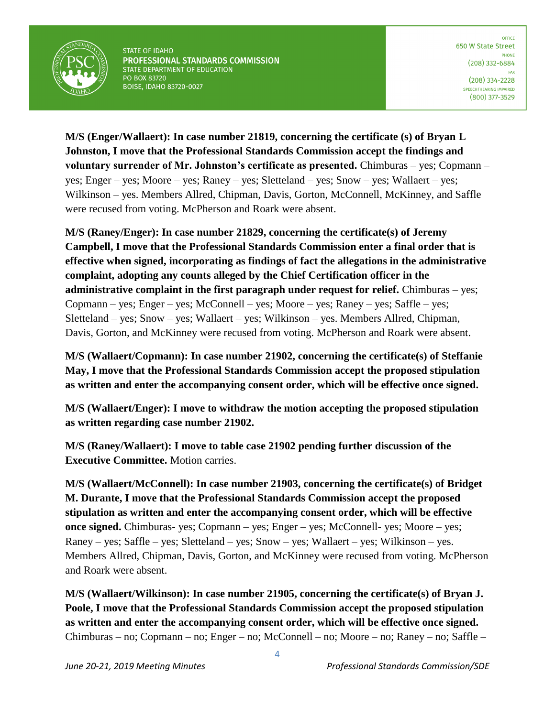

**M/S (Enger/Wallaert): In case number 21819, concerning the certificate (s) of Bryan L Johnston, I move that the Professional Standards Commission accept the findings and voluntary surrender of Mr. Johnston's certificate as presented.** Chimburas – yes; Copmann – yes; Enger – yes; Moore – yes; Raney – yes; Sletteland – yes; Snow – yes; Wallaert – yes; Wilkinson – yes. Members Allred, Chipman, Davis, Gorton, McConnell, McKinney, and Saffle were recused from voting. McPherson and Roark were absent.

**M/S (Raney/Enger): In case number 21829, concerning the certificate(s) of Jeremy Campbell, I move that the Professional Standards Commission enter a final order that is effective when signed, incorporating as findings of fact the allegations in the administrative complaint, adopting any counts alleged by the Chief Certification officer in the administrative complaint in the first paragraph under request for relief.** Chimburas – yes; Copmann – yes; Enger – yes; McConnell – yes; Moore – yes; Raney – yes; Saffle – yes; Sletteland – yes; Snow – yes; Wallaert – yes; Wilkinson – yes. Members Allred, Chipman, Davis, Gorton, and McKinney were recused from voting. McPherson and Roark were absent.

**M/S (Wallaert/Copmann): In case number 21902, concerning the certificate(s) of Steffanie May, I move that the Professional Standards Commission accept the proposed stipulation as written and enter the accompanying consent order, which will be effective once signed.**

**M/S (Wallaert/Enger): I move to withdraw the motion accepting the proposed stipulation as written regarding case number 21902.**

**M/S (Raney/Wallaert): I move to table case 21902 pending further discussion of the Executive Committee.** Motion carries.

**M/S (Wallaert/McConnell): In case number 21903, concerning the certificate(s) of Bridget M. Durante, I move that the Professional Standards Commission accept the proposed stipulation as written and enter the accompanying consent order, which will be effective once signed.** Chimburas- yes; Copmann – yes; Enger – yes; McConnell- yes; Moore – yes; Raney – yes; Saffle – yes; Sletteland – yes; Snow – yes; Wallaert – yes; Wilkinson – yes. Members Allred, Chipman, Davis, Gorton, and McKinney were recused from voting. McPherson and Roark were absent.

**M/S (Wallaert/Wilkinson): In case number 21905, concerning the certificate(s) of Bryan J. Poole, I move that the Professional Standards Commission accept the proposed stipulation as written and enter the accompanying consent order, which will be effective once signed.**  Chimburas – no; Copmann – no; Enger – no; McConnell – no; Moore – no; Raney – no; Saffle –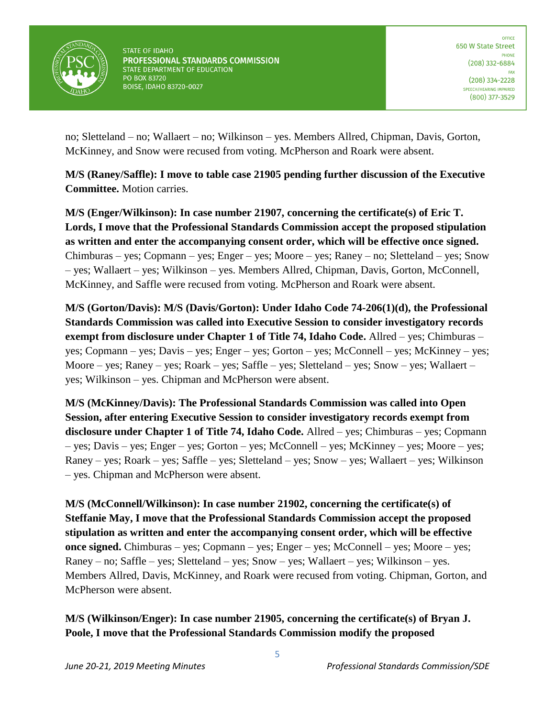

no; Sletteland – no; Wallaert – no; Wilkinson – yes. Members Allred, Chipman, Davis, Gorton, McKinney, and Snow were recused from voting. McPherson and Roark were absent.

**M/S (Raney/Saffle): I move to table case 21905 pending further discussion of the Executive Committee.** Motion carries.

**M/S (Enger/Wilkinson): In case number 21907, concerning the certificate(s) of Eric T. Lords, I move that the Professional Standards Commission accept the proposed stipulation as written and enter the accompanying consent order, which will be effective once signed.**  Chimburas – yes; Copmann – yes; Enger – yes; Moore – yes; Raney – no; Sletteland – yes; Snow – yes; Wallaert – yes; Wilkinson – yes. Members Allred, Chipman, Davis, Gorton, McConnell, McKinney, and Saffle were recused from voting. McPherson and Roark were absent.

**M/S (Gorton/Davis): M/S (Davis/Gorton): Under Idaho Code 74-206(1)(d), the Professional Standards Commission was called into Executive Session to consider investigatory records exempt from disclosure under Chapter 1 of Title 74, Idaho Code.** Allred – yes; Chimburas – yes; Copmann – yes; Davis – yes; Enger – yes; Gorton – yes; McConnell – yes; McKinney – yes; Moore – yes; Raney – yes; Roark – yes; Saffle – yes; Sletteland – yes; Snow – yes; Wallaert – yes; Wilkinson – yes. Chipman and McPherson were absent.

**M/S (McKinney/Davis): The Professional Standards Commission was called into Open Session, after entering Executive Session to consider investigatory records exempt from disclosure under Chapter 1 of Title 74, Idaho Code.** Allred – yes; Chimburas – yes; Copmann – yes; Davis – yes; Enger – yes; Gorton – yes; McConnell – yes; McKinney – yes; Moore – yes; Raney – yes; Roark – yes; Saffle – yes; Sletteland – yes; Snow – yes; Wallaert – yes; Wilkinson – yes. Chipman and McPherson were absent.

**M/S (McConnell/Wilkinson): In case number 21902, concerning the certificate(s) of Steffanie May, I move that the Professional Standards Commission accept the proposed stipulation as written and enter the accompanying consent order, which will be effective once signed.** Chimburas – yes; Copmann – yes; Enger – yes; McConnell – yes; Moore – yes; Raney – no; Saffle – yes; Sletteland – yes; Snow – yes; Wallaert – yes; Wilkinson – yes. Members Allred, Davis, McKinney, and Roark were recused from voting. Chipman, Gorton, and McPherson were absent.

**M/S (Wilkinson/Enger): In case number 21905, concerning the certificate(s) of Bryan J. Poole, I move that the Professional Standards Commission modify the proposed**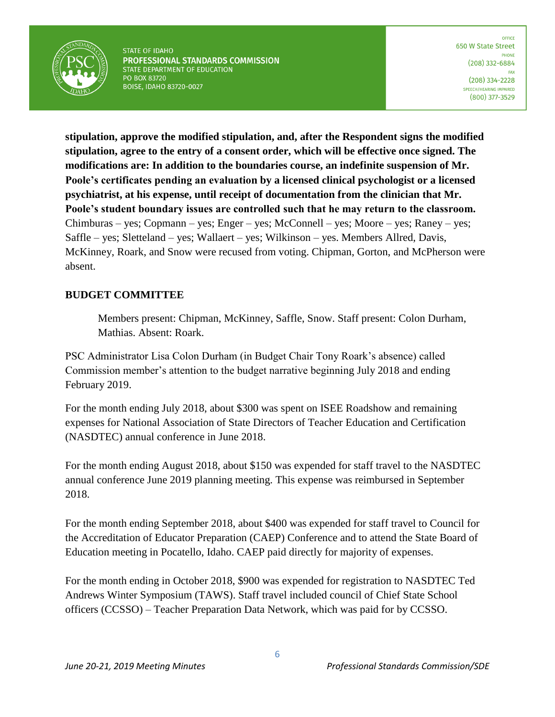

**stipulation, approve the modified stipulation, and, after the Respondent signs the modified stipulation, agree to the entry of a consent order, which will be effective once signed. The modifications are: In addition to the boundaries course, an indefinite suspension of Mr. Poole's certificates pending an evaluation by a licensed clinical psychologist or a licensed psychiatrist, at his expense, until receipt of documentation from the clinician that Mr. Poole's student boundary issues are controlled such that he may return to the classroom.**  Chimburas – yes; Copmann – yes; Enger – yes; McConnell – yes; Moore – yes; Raney – yes; Saffle – yes; Sletteland – yes; Wallaert – yes; Wilkinson – yes. Members Allred, Davis, McKinney, Roark, and Snow were recused from voting. Chipman, Gorton, and McPherson were absent.

#### **BUDGET COMMITTEE**

Members present: Chipman, McKinney, Saffle, Snow. Staff present: Colon Durham, Mathias. Absent: Roark.

PSC Administrator Lisa Colon Durham (in Budget Chair Tony Roark's absence) called Commission member's attention to the budget narrative beginning July 2018 and ending February 2019.

For the month ending July 2018, about \$300 was spent on ISEE Roadshow and remaining expenses for National Association of State Directors of Teacher Education and Certification (NASDTEC) annual conference in June 2018.

For the month ending August 2018, about \$150 was expended for staff travel to the NASDTEC annual conference June 2019 planning meeting. This expense was reimbursed in September 2018.

For the month ending September 2018, about \$400 was expended for staff travel to Council for the Accreditation of Educator Preparation (CAEP) Conference and to attend the State Board of Education meeting in Pocatello, Idaho. CAEP paid directly for majority of expenses.

For the month ending in October 2018, \$900 was expended for registration to NASDTEC Ted Andrews Winter Symposium (TAWS). Staff travel included council of Chief State School officers (CCSSO) – Teacher Preparation Data Network, which was paid for by CCSSO.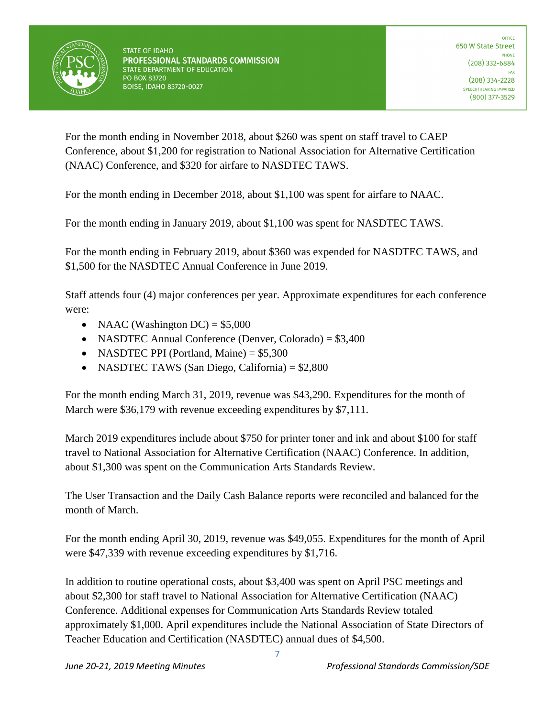

For the month ending in November 2018, about \$260 was spent on staff travel to CAEP Conference, about \$1,200 for registration to National Association for Alternative Certification (NAAC) Conference, and \$320 for airfare to NASDTEC TAWS.

For the month ending in December 2018, about \$1,100 was spent for airfare to NAAC.

For the month ending in January 2019, about \$1,100 was spent for NASDTEC TAWS.

For the month ending in February 2019, about \$360 was expended for NASDTEC TAWS, and \$1,500 for the NASDTEC Annual Conference in June 2019.

Staff attends four (4) major conferences per year. Approximate expenditures for each conference were:

- NAAC (Washington  $DC$ ) = \$5,000
- NASDTEC Annual Conference (Denver, Colorado) = \$3,400
- NASDTEC PPI (Portland, Maine)  $= $5,300$
- NASDTEC TAWS (San Diego, California) = \$2,800

For the month ending March 31, 2019, revenue was \$43,290. Expenditures for the month of March were \$36,179 with revenue exceeding expenditures by \$7,111.

March 2019 expenditures include about \$750 for printer toner and ink and about \$100 for staff travel to National Association for Alternative Certification (NAAC) Conference. In addition, about \$1,300 was spent on the Communication Arts Standards Review.

The User Transaction and the Daily Cash Balance reports were reconciled and balanced for the month of March.

For the month ending April 30, 2019, revenue was \$49,055. Expenditures for the month of April were \$47,339 with revenue exceeding expenditures by \$1,716.

In addition to routine operational costs, about \$3,400 was spent on April PSC meetings and about \$2,300 for staff travel to National Association for Alternative Certification (NAAC) Conference. Additional expenses for Communication Arts Standards Review totaled approximately \$1,000. April expenditures include the National Association of State Directors of Teacher Education and Certification (NASDTEC) annual dues of \$4,500.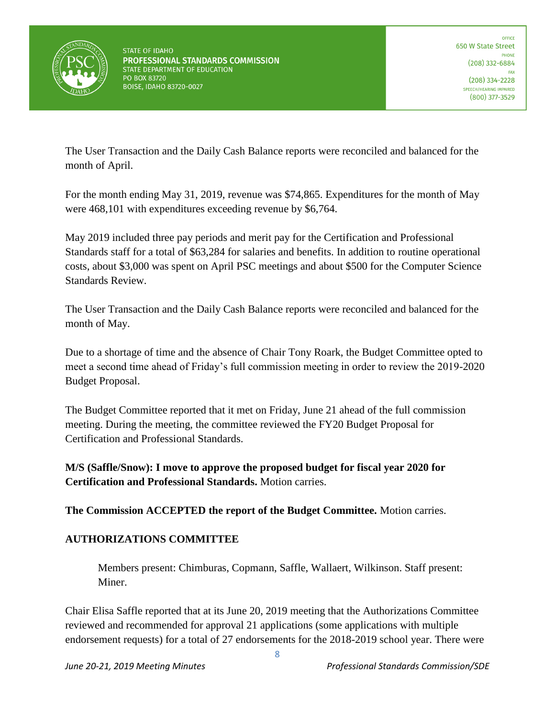

The User Transaction and the Daily Cash Balance reports were reconciled and balanced for the month of April.

For the month ending May 31, 2019, revenue was \$74,865. Expenditures for the month of May were 468,101 with expenditures exceeding revenue by \$6,764.

May 2019 included three pay periods and merit pay for the Certification and Professional Standards staff for a total of \$63,284 for salaries and benefits. In addition to routine operational costs, about \$3,000 was spent on April PSC meetings and about \$500 for the Computer Science Standards Review.

The User Transaction and the Daily Cash Balance reports were reconciled and balanced for the month of May.

Due to a shortage of time and the absence of Chair Tony Roark, the Budget Committee opted to meet a second time ahead of Friday's full commission meeting in order to review the 2019-2020 Budget Proposal.

The Budget Committee reported that it met on Friday, June 21 ahead of the full commission meeting. During the meeting, the committee reviewed the FY20 Budget Proposal for Certification and Professional Standards.

**M/S (Saffle/Snow): I move to approve the proposed budget for fiscal year 2020 for Certification and Professional Standards.** Motion carries.

**The Commission ACCEPTED the report of the Budget Committee.** Motion carries.

# **AUTHORIZATIONS COMMITTEE**

Members present: Chimburas, Copmann, Saffle, Wallaert, Wilkinson. Staff present: Miner.

Chair Elisa Saffle reported that at its June 20, 2019 meeting that the Authorizations Committee reviewed and recommended for approval 21 applications (some applications with multiple endorsement requests) for a total of 27 endorsements for the 2018-2019 school year. There were

8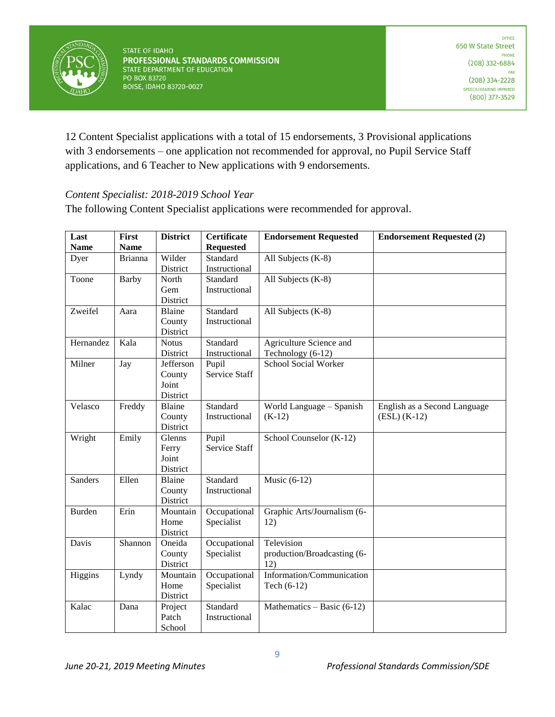

12 Content Specialist applications with a total of 15 endorsements, 3 Provisional applications with 3 endorsements – one application not recommended for approval, no Pupil Service Staff applications, and 6 Teacher to New applications with 9 endorsements.

## *Content Specialist: 2018-2019 School Year*

The following Content Specialist applications were recommended for approval.

| Last<br><b>Name</b> | First<br><b>Name</b> | <b>District</b>                          | <b>Certificate</b><br><b>Requested</b> | <b>Endorsement Requested</b>                     | <b>Endorsement Requested (2)</b>               |
|---------------------|----------------------|------------------------------------------|----------------------------------------|--------------------------------------------------|------------------------------------------------|
| Dyer                | <b>Brianna</b>       | Wilder<br>District                       | Standard<br>Instructional              | All Subjects (K-8)                               |                                                |
| Toone               | Barby                | North<br>Gem<br>District                 | Standard<br>Instructional              | All Subjects (K-8)                               |                                                |
| Zweifel             | Aara                 | Blaine<br>County<br>District             | Standard<br>Instructional              | All Subjects (K-8)                               |                                                |
| Hernandez           | Kala                 | <b>Notus</b><br>District                 | Standard<br>Instructional              | Agriculture Science and<br>Technology (6-12)     |                                                |
| Milner              | Jay                  | Jefferson<br>County<br>Joint<br>District | Pupil<br>Service Staff                 | School Social Worker                             |                                                |
| Velasco             | Freddy               | Blaine<br>County<br>District             | Standard<br>Instructional              | World Language - Spanish<br>$(K-12)$             | English as a Second Language<br>$(ESL) (K-12)$ |
| Wright              | Emily                | Glenns<br>Ferry<br>Joint<br>District     | Pupil<br>Service Staff                 | School Counselor (K-12)                          |                                                |
| Sanders             | Ellen                | Blaine<br>County<br>District             | Standard<br>Instructional              | Music $(6-12)$                                   |                                                |
| Burden              | Erin                 | Mountain<br>Home<br>District             | Occupational<br>Specialist             | Graphic Arts/Journalism (6-<br>12)               |                                                |
| Davis               | Shannon              | Oneida<br>County<br>District             | Occupational<br>Specialist             | Television<br>production/Broadcasting (6-<br>12) |                                                |
| Higgins             | Lyndy                | Mountain<br>Home<br>District             | Occupational<br>Specialist             | Information/Communication<br>Tech (6-12)         |                                                |
| Kalac               | Dana                 | Project<br>Patch<br>School               | Standard<br>Instructional              | Mathematics $-$ Basic (6-12)                     |                                                |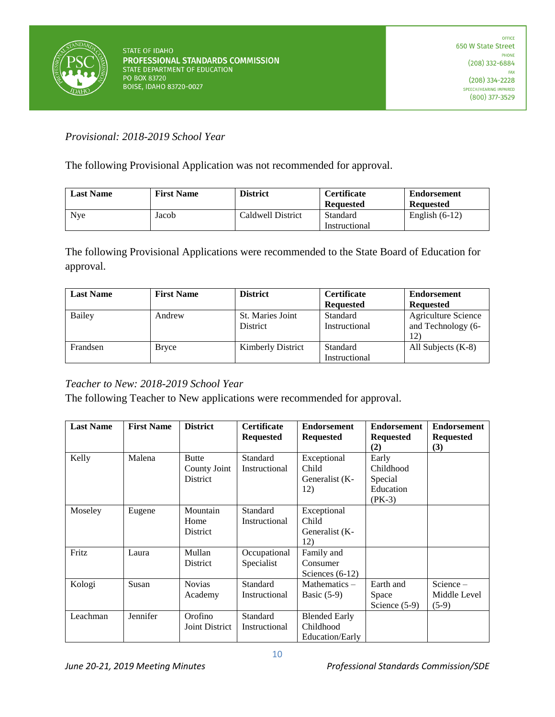

*Provisional: 2018-2019 School Year*

The following Provisional Application was not recommended for approval.

| <b>Last Name</b> | <b>First Name</b> | <b>District</b>   | <b>Certificate</b><br><b>Requested</b> | <b>Endorsement</b><br><b>Requested</b> |
|------------------|-------------------|-------------------|----------------------------------------|----------------------------------------|
| <b>N</b> ve      | Jacob             | Caldwell District | Standard                               | English $(6-12)$                       |
|                  |                   |                   | Instructional                          |                                        |

The following Provisional Applications were recommended to the State Board of Education for approval.

| <b>Last Name</b> | <b>First Name</b> | <b>District</b>          | Certificate      | <b>Endorsement</b>         |
|------------------|-------------------|--------------------------|------------------|----------------------------|
|                  |                   |                          | <b>Requested</b> | <b>Requested</b>           |
| Bailey           | Andrew            | St. Maries Joint         | Standard         | <b>Agriculture Science</b> |
|                  |                   | <b>District</b>          | Instructional    | and Technology (6-         |
|                  |                   |                          |                  | 12)                        |
| Frandsen         | Bryce             | <b>Kimberly District</b> | Standard         | All Subjects $(K-8)$       |
|                  |                   |                          | Instructional    |                            |

## *Teacher to New: 2018-2019 School Year*

The following Teacher to New applications were recommended for approval.

| <b>Last Name</b> | <b>First Name</b> | <b>District</b>                          | <b>Certificate</b><br><b>Requested</b> | <b>Endorsement</b><br><b>Requested</b>               | <b>Endorsement</b><br><b>Requested</b><br>(2)          | <b>Endorsement</b><br><b>Requested</b><br>(3) |
|------------------|-------------------|------------------------------------------|----------------------------------------|------------------------------------------------------|--------------------------------------------------------|-----------------------------------------------|
| Kelly            | Malena            | <b>Butte</b><br>County Joint<br>District | Standard<br>Instructional              | Exceptional<br>Child<br>Generalist (K-<br>12)        | Early<br>Childhood<br>Special<br>Education<br>$(PK-3)$ |                                               |
| Moseley          | Eugene            | Mountain<br>Home<br>District             | Standard<br>Instructional              | Exceptional<br>Child<br>Generalist (K-<br>12)        |                                                        |                                               |
| Fritz            | Laura             | Mullan<br>District                       | Occupational<br>Specialist             | Family and<br>Consumer<br>Sciences $(6-12)$          |                                                        |                                               |
| Kologi           | Susan             | <b>Novias</b><br>Academy                 | Standard<br>Instructional              | Mathematics $-$<br>Basic $(5-9)$                     | Earth and<br>Space<br>Science $(5-9)$                  | Science-<br>Middle Level<br>$(5-9)$           |
| Leachman         | Jennifer          | Orofino<br>Joint District                | Standard<br>Instructional              | <b>Blended Early</b><br>Childhood<br>Education/Early |                                                        |                                               |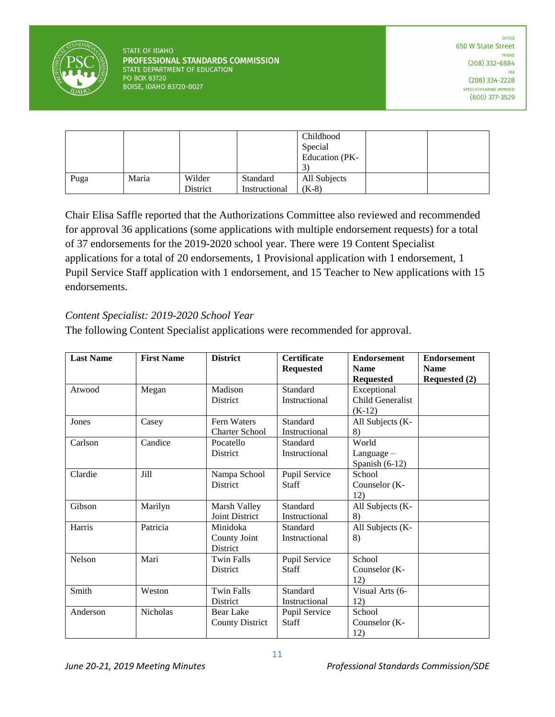

|      |       |                 |               | Childhood      |  |
|------|-------|-----------------|---------------|----------------|--|
|      |       |                 |               | Special        |  |
|      |       |                 |               | Education (PK- |  |
|      |       |                 |               | 3              |  |
| Puga | Maria | Wilder          | Standard      | All Subjects   |  |
|      |       | <b>District</b> | Instructional | $(K-8)$        |  |

Chair Elisa Saffle reported that the Authorizations Committee also reviewed and recommended for approval 36 applications (some applications with multiple endorsement requests) for a total of 37 endorsements for the 2019-2020 school year. There were 19 Content Specialist applications for a total of 20 endorsements, 1 Provisional application with 1 endorsement, 1 Pupil Service Staff application with 1 endorsement, and 15 Teacher to New applications with 15 endorsements.

## *Content Specialist: 2019-2020 School Year*

The following Content Specialist applications were recommended for approval.

| <b>Last Name</b> | <b>First Name</b> | <b>District</b>        | <b>Certificate</b> | <b>Endorsement</b> | <b>Endorsement</b>   |
|------------------|-------------------|------------------------|--------------------|--------------------|----------------------|
|                  |                   |                        | <b>Requested</b>   | <b>Name</b>        | <b>Name</b>          |
|                  |                   |                        |                    | <b>Requested</b>   | <b>Requested (2)</b> |
| Atwood           | Megan             | Madison                | Standard           | Exceptional        |                      |
|                  |                   | District               | Instructional      | Child Generalist   |                      |
|                  |                   |                        |                    | $(K-12)$           |                      |
| Jones            | Casey             | Fern Waters            | Standard           | All Subjects (K-   |                      |
|                  |                   | <b>Charter School</b>  | Instructional      | 8)                 |                      |
| Carlson          | Candice           | Pocatello              | Standard           | World              |                      |
|                  |                   | <b>District</b>        | Instructional      | Language $-$       |                      |
|                  |                   |                        |                    | Spanish $(6-12)$   |                      |
| Clardie          | Jill              | Nampa School           | Pupil Service      | School             |                      |
|                  |                   | <b>District</b>        | <b>Staff</b>       | Counselor (K-      |                      |
|                  |                   |                        |                    | 12)                |                      |
| Gibson           | Marilyn           | Marsh Valley           | Standard           | All Subjects (K-   |                      |
|                  |                   | Joint District         | Instructional      | 8)                 |                      |
| Harris           | Patricia          | Minidoka               | Standard           | All Subjects (K-   |                      |
|                  |                   | County Joint           | Instructional      | 8)                 |                      |
|                  |                   | District               |                    |                    |                      |
| Nelson           | Mari              | Twin Falls             | Pupil Service      | School             |                      |
|                  |                   | <b>District</b>        | <b>Staff</b>       | Counselor (K-      |                      |
|                  |                   |                        |                    | 12)                |                      |
| Smith            | Weston            | <b>Twin Falls</b>      | Standard           | Visual Arts (6-    |                      |
|                  |                   | District               | Instructional      | 12)                |                      |
| Anderson         | Nicholas          | <b>Bear Lake</b>       | Pupil Service      | School             |                      |
|                  |                   | <b>County District</b> | Staff              | Counselor (K-      |                      |
|                  |                   |                        |                    | 12)                |                      |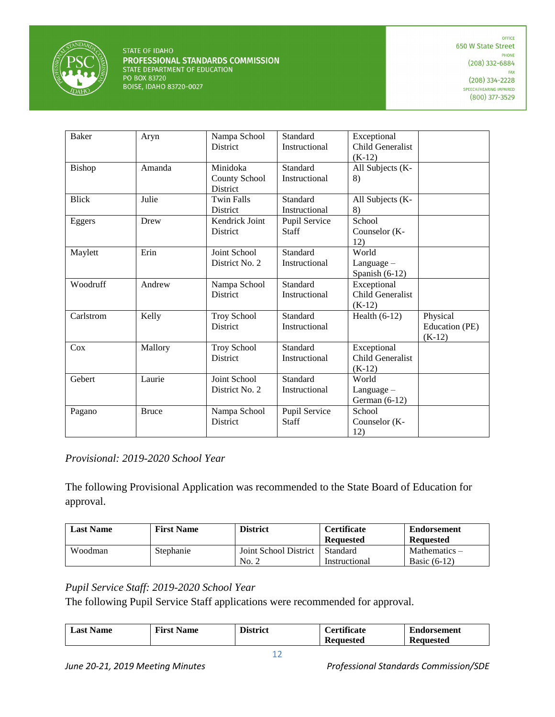

| <b>Baker</b> | Aryn         | Nampa School<br><b>District</b> | Standard<br>Instructional | Exceptional<br>Child Generalist |                |
|--------------|--------------|---------------------------------|---------------------------|---------------------------------|----------------|
|              |              |                                 |                           | $(K-12)$                        |                |
| Bishop       | Amanda       | Minidoka                        | Standard                  | All Subjects (K-                |                |
|              |              | <b>County School</b>            | Instructional             | 8)                              |                |
| <b>Blick</b> | Julie        | District<br><b>Twin Falls</b>   | Standard                  |                                 |                |
|              |              | District                        | Instructional             | All Subjects (K-<br>8)          |                |
| Eggers       | Drew         | Kendrick Joint                  | Pupil Service             | School                          |                |
|              |              | District                        | <b>Staff</b>              | Counselor (K-                   |                |
|              |              |                                 |                           | 12)                             |                |
| Maylett      | Erin         | Joint School                    | Standard                  | World                           |                |
|              |              | District No. 2                  | Instructional             | $Language -$                    |                |
|              |              |                                 |                           | Spanish $(6-12)$                |                |
| Woodruff     | Andrew       | Nampa School                    | Standard                  | Exceptional                     |                |
|              |              | District                        | Instructional             | Child Generalist                |                |
|              |              |                                 |                           | $(K-12)$                        |                |
| Carlstrom    | Kelly        | <b>Troy School</b>              | Standard                  | Health $(6-12)$                 | Physical       |
|              |              | <b>District</b>                 | Instructional             |                                 | Education (PE) |
| Cox          | Mallory      | <b>Troy School</b>              | Standard                  | Exceptional                     | $(K-12)$       |
|              |              | District                        | Instructional             | Child Generalist                |                |
|              |              |                                 |                           | $(K-12)$                        |                |
| Gebert       | Laurie       | Joint School                    | Standard                  | World                           |                |
|              |              | District No. 2                  | Instructional             | $Language -$                    |                |
|              |              |                                 |                           | German $(6-12)$                 |                |
| Pagano       | <b>Bruce</b> | Nampa School                    | Pupil Service             | School                          |                |
|              |              | District                        | Staff                     | Counselor (K-                   |                |
|              |              |                                 |                           | 12)                             |                |

## *Provisional: 2019-2020 School Year*

The following Provisional Application was recommended to the State Board of Education for approval.

| <b>Last Name</b> | <b>First Name</b> | <b>District</b>                | <b>Certificate</b><br><b>Requested</b> | <b>Endorsement</b><br>Requested   |
|------------------|-------------------|--------------------------------|----------------------------------------|-----------------------------------|
| Woodman          | Stephanie         | Joint School District<br>No. 2 | Standard<br>Instructional              | Mathematics $-$<br>Basic $(6-12)$ |

## *Pupil Service Staff: 2019-2020 School Year*

The following Pupil Service Staff applications were recommended for approval.

| ∟ast '<br><b>Name</b> | <b>First</b><br><b>Name</b> | $\mathbf{r}$<br>District | <i>ertificate</i> | ┳<br>torsement<br>⊍nd |
|-----------------------|-----------------------------|--------------------------|-------------------|-----------------------|
|                       |                             |                          | Keauested<br>.    | Requested             |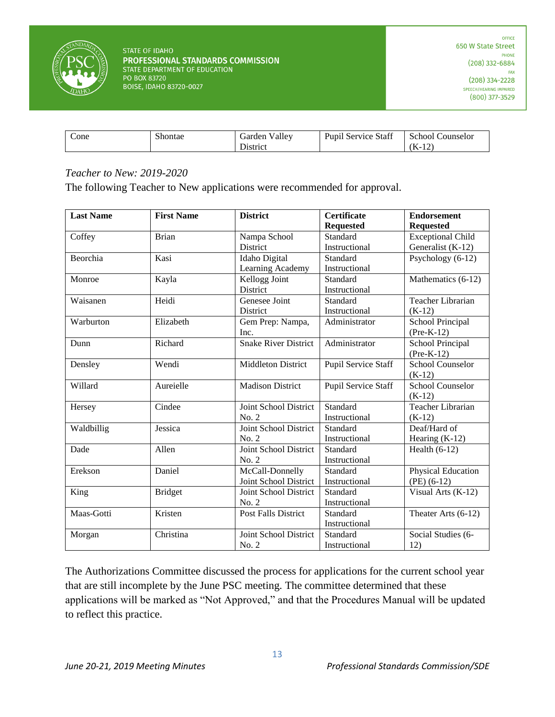

| $\angle$ one | $\sim$<br>ihontae<br>. | . .<br>ciarder<br>valley      | $\overline{c}$<br>$\sqrt{ }$<br>Staff<br>Service<br>P <sub>11</sub> nn. | schoe'<br>ounselor          |
|--------------|------------------------|-------------------------------|-------------------------------------------------------------------------|-----------------------------|
|              |                        | $-$ 3.4 $-$ 4.4 $-$<br>wurde: |                                                                         | $\tau$<br>$\sim$<br>Æ.<br>. |

#### *Teacher to New: 2019-2020*

The following Teacher to New applications were recommended for approval.

| <b>Last Name</b> | <b>First Name</b> | <b>District</b>             | <b>Certificate</b>  | <b>Endorsement</b>      |
|------------------|-------------------|-----------------------------|---------------------|-------------------------|
|                  |                   |                             | <b>Requested</b>    | <b>Requested</b>        |
| Coffey           | <b>Brian</b>      | Nampa School                | Standard            | Exceptional Child       |
|                  |                   | District                    | Instructional       | Generalist (K-12)       |
| Beorchia         | Kasi              | <b>Idaho</b> Digital        | Standard            | Psychology (6-12)       |
|                  |                   | Learning Academy            | Instructional       |                         |
| Monroe           | Kayla             | Kellogg Joint               | Standard            | Mathematics (6-12)      |
|                  |                   | District                    | Instructional       |                         |
| Waisanen         | Heidi             | Genesee Joint               | Standard            | Teacher Librarian       |
|                  |                   | District                    | Instructional       | $(K-12)$                |
| Warburton        | Elizabeth         | Gem Prep: Nampa,            | Administrator       | School Principal        |
|                  |                   | Inc.                        |                     | $(Pre-K-12)$            |
| Dunn             | Richard           | <b>Snake River District</b> | Administrator       | School Principal        |
|                  |                   |                             |                     | $(Pre-K-12)$            |
| Densley          | Wendi             | <b>Middleton District</b>   | Pupil Service Staff | <b>School Counselor</b> |
|                  |                   |                             |                     | $(K-12)$                |
| Willard          | Aureielle         | <b>Madison District</b>     | Pupil Service Staff | <b>School Counselor</b> |
|                  |                   |                             |                     | $(K-12)$                |
| Hersey           | Cindee            | Joint School District       | Standard            | Teacher Librarian       |
|                  |                   | No. 2                       | Instructional       | $(K-12)$                |
| Waldbillig       | Jessica           | Joint School District       | Standard            | Deaf/Hard of            |
|                  |                   | No. 2                       | Instructional       | Hearing $(K-12)$        |
| Dade             | Allen             | Joint School District       | Standard            | Health $(6-12)$         |
|                  |                   | No. 2                       | Instructional       |                         |
| Erekson          | Daniel            | McCall-Donnelly             | Standard            | Physical Education      |
|                  |                   | Joint School District       | Instructional       | $(PE)$ (6-12)           |
| King             | <b>Bridget</b>    | Joint School District       | Standard            | Visual Arts (K-12)      |
|                  |                   | No. 2                       | Instructional       |                         |
| Maas-Gotti       | Kristen           | <b>Post Falls District</b>  | Standard            | Theater Arts (6-12)     |
|                  |                   |                             | Instructional       |                         |
| Morgan           | Christina         | Joint School District       | Standard            | Social Studies (6-      |
|                  |                   | No. 2                       | Instructional       | 12)                     |

The Authorizations Committee discussed the process for applications for the current school year that are still incomplete by the June PSC meeting. The committee determined that these applications will be marked as "Not Approved," and that the Procedures Manual will be updated to reflect this practice.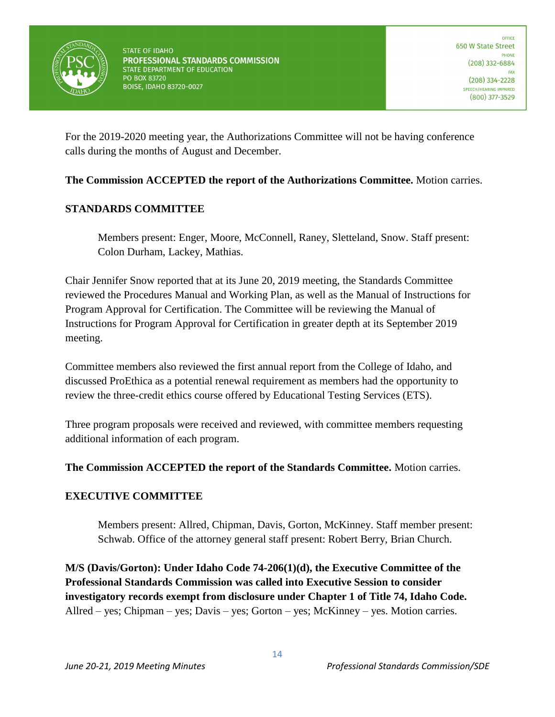

For the 2019-2020 meeting year, the Authorizations Committee will not be having conference calls during the months of August and December.

**The Commission ACCEPTED the report of the Authorizations Committee.** Motion carries.

## **STANDARDS COMMITTEE**

Members present: Enger, Moore, McConnell, Raney, Sletteland, Snow. Staff present: Colon Durham, Lackey, Mathias.

Chair Jennifer Snow reported that at its June 20, 2019 meeting, the Standards Committee reviewed the Procedures Manual and Working Plan, as well as the Manual of Instructions for Program Approval for Certification. The Committee will be reviewing the Manual of Instructions for Program Approval for Certification in greater depth at its September 2019 meeting.

Committee members also reviewed the first annual report from the College of Idaho, and discussed ProEthica as a potential renewal requirement as members had the opportunity to review the three-credit ethics course offered by Educational Testing Services (ETS).

Three program proposals were received and reviewed, with committee members requesting additional information of each program.

## **The Commission ACCEPTED the report of the Standards Committee.** Motion carries.

## **EXECUTIVE COMMITTEE**

Members present: Allred, Chipman, Davis, Gorton, McKinney. Staff member present: Schwab. Office of the attorney general staff present: Robert Berry, Brian Church.

**M/S (Davis/Gorton): Under Idaho Code 74-206(1)(d), the Executive Committee of the Professional Standards Commission was called into Executive Session to consider investigatory records exempt from disclosure under Chapter 1 of Title 74, Idaho Code.**  Allred – yes; Chipman – yes; Davis – yes; Gorton – yes; McKinney – yes. Motion carries.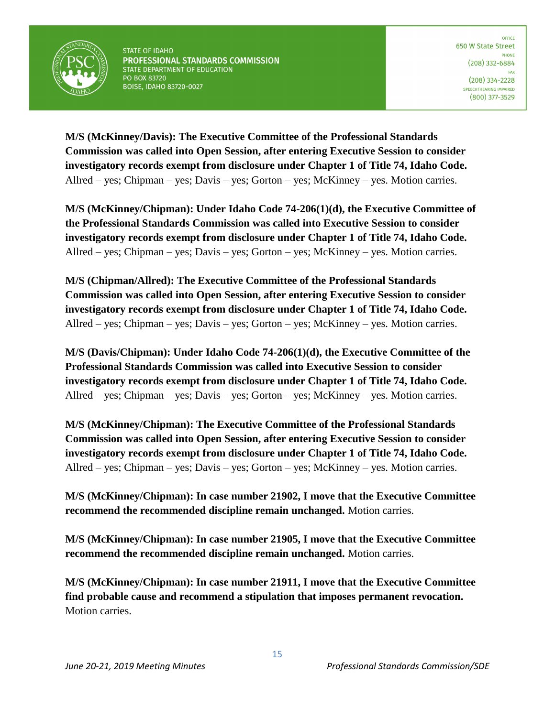

**M/S (McKinney/Davis): The Executive Committee of the Professional Standards Commission was called into Open Session, after entering Executive Session to consider investigatory records exempt from disclosure under Chapter 1 of Title 74, Idaho Code.**  Allred – yes; Chipman – yes; Davis – yes; Gorton – yes; McKinney – yes. Motion carries.

**M/S (McKinney/Chipman): Under Idaho Code 74-206(1)(d), the Executive Committee of the Professional Standards Commission was called into Executive Session to consider investigatory records exempt from disclosure under Chapter 1 of Title 74, Idaho Code.**  Allred – yes; Chipman – yes; Davis – yes; Gorton – yes; McKinney – yes. Motion carries.

**M/S (Chipman/Allred): The Executive Committee of the Professional Standards Commission was called into Open Session, after entering Executive Session to consider investigatory records exempt from disclosure under Chapter 1 of Title 74, Idaho Code.**  Allred – yes; Chipman – yes; Davis – yes; Gorton – yes; McKinney – yes. Motion carries.

**M/S (Davis/Chipman): Under Idaho Code 74-206(1)(d), the Executive Committee of the Professional Standards Commission was called into Executive Session to consider investigatory records exempt from disclosure under Chapter 1 of Title 74, Idaho Code.**  Allred – yes; Chipman – yes; Davis – yes; Gorton – yes; McKinney – yes. Motion carries.

**M/S (McKinney/Chipman): The Executive Committee of the Professional Standards Commission was called into Open Session, after entering Executive Session to consider investigatory records exempt from disclosure under Chapter 1 of Title 74, Idaho Code.**  Allred – yes; Chipman – yes; Davis – yes; Gorton – yes; McKinney – yes. Motion carries.

**M/S (McKinney/Chipman): In case number 21902, I move that the Executive Committee recommend the recommended discipline remain unchanged.** Motion carries.

**M/S (McKinney/Chipman): In case number 21905, I move that the Executive Committee recommend the recommended discipline remain unchanged.** Motion carries.

**M/S (McKinney/Chipman): In case number 21911, I move that the Executive Committee find probable cause and recommend a stipulation that imposes permanent revocation.**  Motion carries.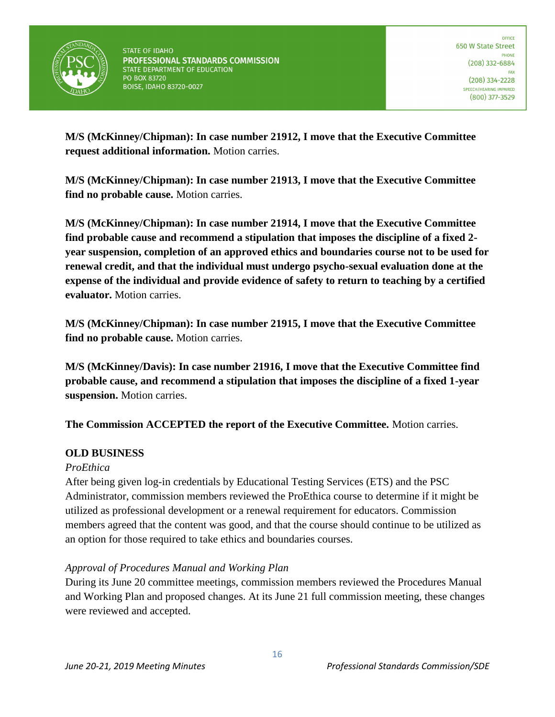

**M/S (McKinney/Chipman): In case number 21912, I move that the Executive Committee request additional information.** Motion carries.

**M/S (McKinney/Chipman): In case number 21913, I move that the Executive Committee find no probable cause.** Motion carries.

**M/S (McKinney/Chipman): In case number 21914, I move that the Executive Committee find probable cause and recommend a stipulation that imposes the discipline of a fixed 2 year suspension, completion of an approved ethics and boundaries course not to be used for renewal credit, and that the individual must undergo psycho-sexual evaluation done at the expense of the individual and provide evidence of safety to return to teaching by a certified evaluator.** Motion carries.

**M/S (McKinney/Chipman): In case number 21915, I move that the Executive Committee find no probable cause.** Motion carries.

**M/S (McKinney/Davis): In case number 21916, I move that the Executive Committee find probable cause, and recommend a stipulation that imposes the discipline of a fixed 1-year suspension.** Motion carries.

**The Commission ACCEPTED the report of the Executive Committee.** Motion carries.

## **OLD BUSINESS**

## *ProEthica*

After being given log-in credentials by Educational Testing Services (ETS) and the PSC Administrator, commission members reviewed the ProEthica course to determine if it might be utilized as professional development or a renewal requirement for educators. Commission members agreed that the content was good, and that the course should continue to be utilized as an option for those required to take ethics and boundaries courses.

## *Approval of Procedures Manual and Working Plan*

During its June 20 committee meetings, commission members reviewed the Procedures Manual and Working Plan and proposed changes. At its June 21 full commission meeting, these changes were reviewed and accepted.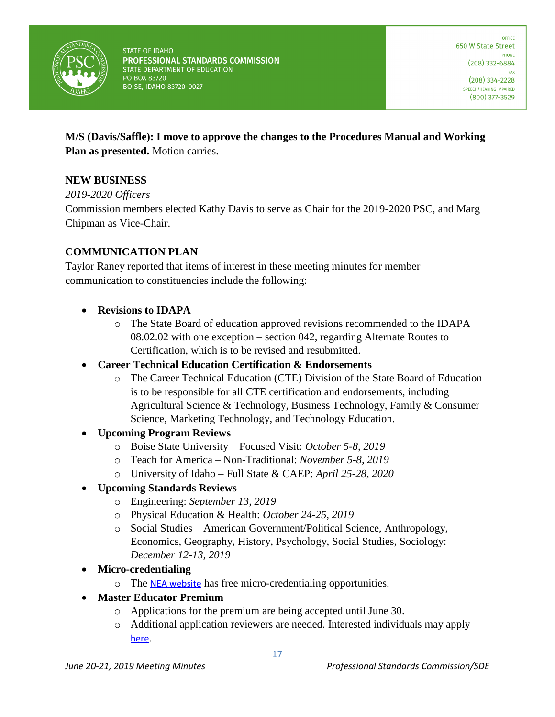

**M/S (Davis/Saffle): I move to approve the changes to the Procedures Manual and Working Plan as presented.** Motion carries.

## **NEW BUSINESS**

*2019-2020 Officers*

Commission members elected Kathy Davis to serve as Chair for the 2019-2020 PSC, and Marg Chipman as Vice-Chair.

# **COMMUNICATION PLAN**

Taylor Raney reported that items of interest in these meeting minutes for member communication to constituencies include the following:

- **Revisions to IDAPA**
	- o The State Board of education approved revisions recommended to the IDAPA 08.02.02 with one exception – section 042, regarding Alternate Routes to Certification, which is to be revised and resubmitted.
- **Career Technical Education Certification & Endorsements**
	- o The Career Technical Education (CTE) Division of the State Board of Education is to be responsible for all CTE certification and endorsements, including Agricultural Science & Technology, Business Technology, Family & Consumer Science, Marketing Technology, and Technology Education.
- **Upcoming Program Reviews**
	- o Boise State University Focused Visit: *October 5-8, 2019*
	- o Teach for America Non-Traditional: *November 5-8, 2019*
	- o University of Idaho Full State & CAEP: *April 25-28, 2020*

## • **Upcoming Standards Reviews**

- o Engineering: *September 13, 2019*
- o Physical Education & Health: *October 24-25, 2019*
- o Social Studies American Government/Political Science, Anthropology, Economics, Geography, History, Psychology, Social Studies, Sociology: *December 12-13, 2019*
- **Micro-credentialing**
	- o The [NEA website](https://nea.certificationbank.com/Stack_Library) has free micro-credentialing opportunities.
- **Master Educator Premium**
	- o Applications for the premium are being accepted until June 30.
	- o Additional application reviewers are needed. Interested individuals may apply [here](https://docs.google.com/forms/d/e/1FAIpQLScHsbqbmTmq2s1-7hLsAsDPGANdunbCkuOydrB2cPz0swBhgw/viewform).